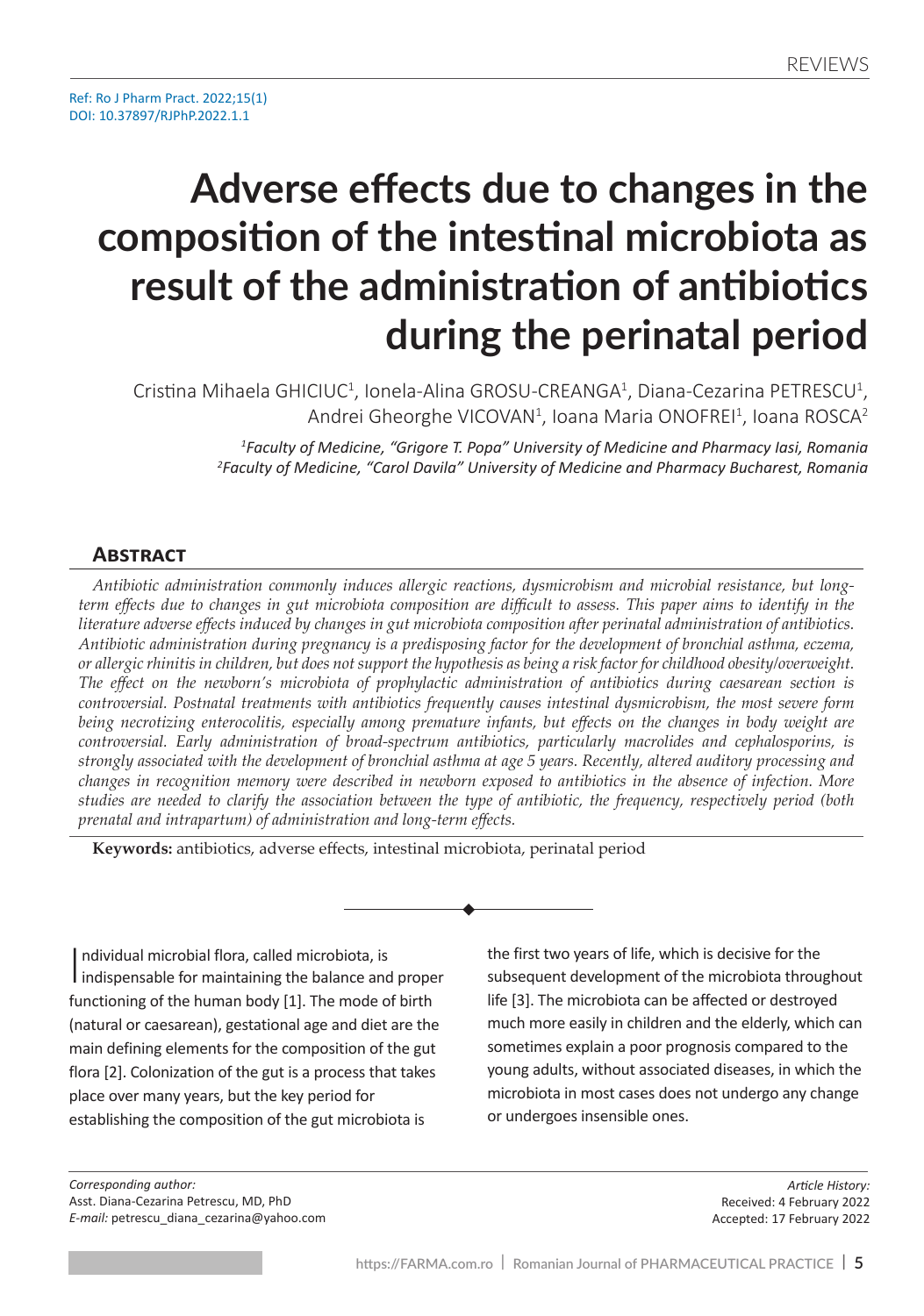# **Adverse effects due to changes in the composition of the intestinal microbiota as result of the administration of antibiotics during the perinatal period**

Cristina Mihaela GHICIUC<sup>1</sup>, Ionela-Alina GROSU-CREANGA<sup>1</sup>, Diana-Cezarina PETRESCU<sup>1</sup>, Andrei Gheorghe VICOVAN<sup>1</sup>, Ioana Maria ONOFREI<sup>1</sup>, Ioana ROSCA<sup>2</sup>

> *1 Faculty of Medicine, "Grigore T. Popa" University of Medicine and Pharmacy Iasi, Romania 2 Faculty of Medicine, "Carol Davila" University of Medicine and Pharmacy Bucharest, Romania*

#### **Abstract**

*Antibiotic administration commonly induces allergic reactions, dysmicrobism and microbial resistance, but longterm effects due to changes in gut microbiota composition are difficult to assess. This paper aims to identify in the literature adverse effects induced by changes in gut microbiota composition after perinatal administration of antibiotics. Antibiotic administration during pregnancy is a predisposing factor for the development of bronchial asthma, eczema, or allergic rhinitis in children, but does not support the hypothesis as being a risk factor for childhood obesity/overweight. The effect on the newborn's microbiota of prophylactic administration of antibiotics during caesarean section is controversial. Postnatal treatments with antibiotics frequently causes intestinal dysmicrobism, the most severe form being necrotizing enterocolitis, especially among premature infants, but effects on the changes in body weight are controversial. Early administration of broad-spectrum antibiotics, particularly macrolides and cephalosporins, is strongly associated with the development of bronchial asthma at age 5 years. Recently, altered auditory processing and changes in recognition memory were described in newborn exposed to antibiotics in the absence of infection. More studies are needed to clarify the association between the type of antibiotic, the frequency, respectively period (both prenatal and intrapartum) of administration and long-term effects.*

**Keywords:** antibiotics, adverse effects, intestinal microbiota, perinatal period

Individual microbial flora, called microbiota, is<br>indispensable for maintaining the balance and proper ndividual microbial flora, called microbiota, is functioning of the human body [1]. The mode of birth (natural or caesarean), gestational age and diet are the main defining elements for the composition of the gut flora [2]. Colonization of the gut is a process that takes place over many years, but the key period for establishing the composition of the gut microbiota is

the first two years of life, which is decisive for the subsequent development of the microbiota throughout life [3]. The microbiota can be affected or destroyed much more easily in children and the elderly, which can sometimes explain a poor prognosis compared to the young adults, without associated diseases, in which the microbiota in most cases does not undergo any change or undergoes insensible ones.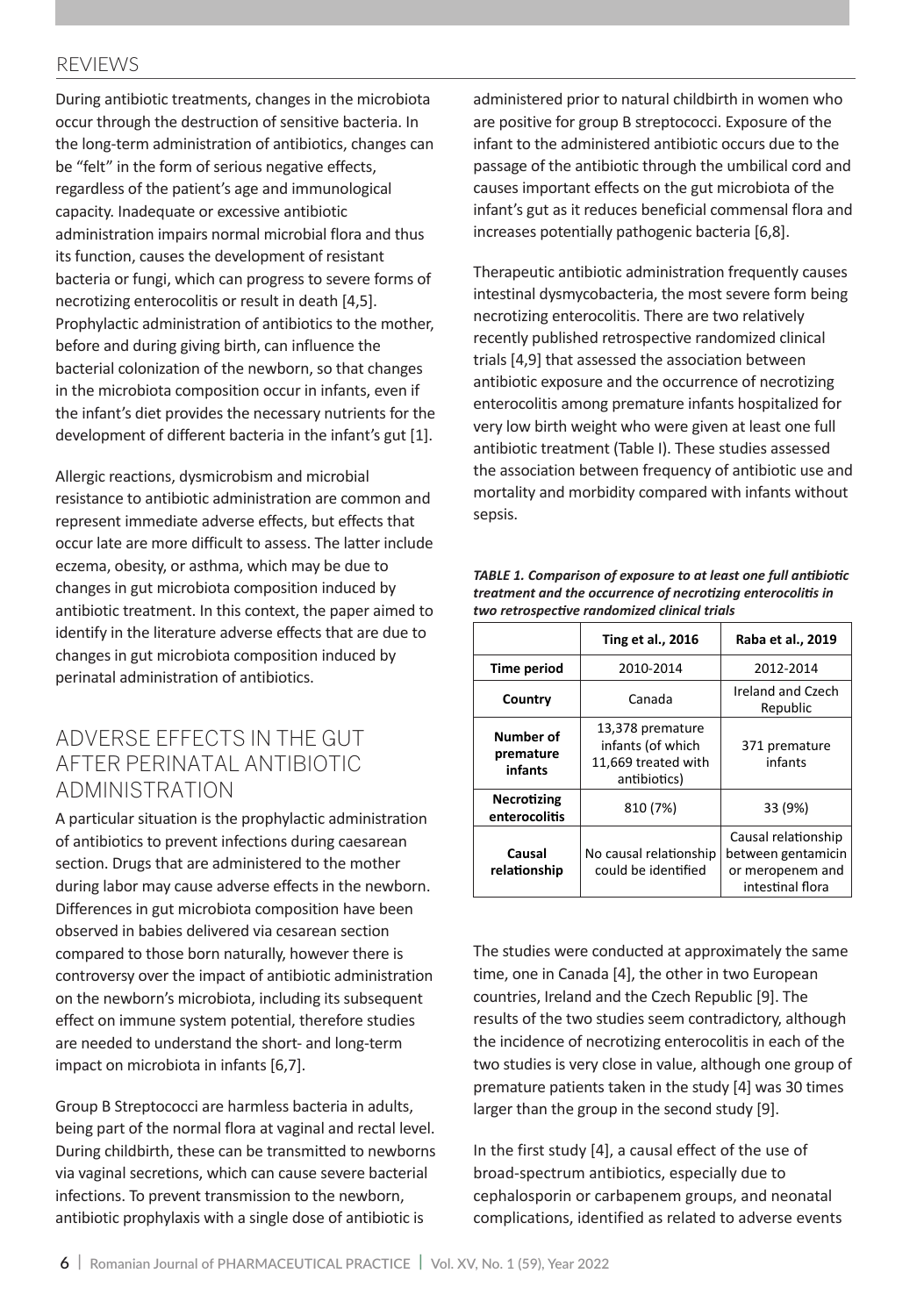#### REVIEWS

During antibiotic treatments, changes in the microbiota occur through the destruction of sensitive bacteria. In the long-term administration of antibiotics, changes can be "felt" in the form of serious negative effects, regardless of the patient's age and immunological capacity. Inadequate or excessive antibiotic administration impairs normal microbial flora and thus its function, causes the development of resistant bacteria or fungi, which can progress to severe forms of necrotizing enterocolitis or result in death [4,5]. Prophylactic administration of antibiotics to the mother, before and during giving birth, can influence the bacterial colonization of the newborn, so that changes in the microbiota composition occur in infants, even if the infant's diet provides the necessary nutrients for the development of different bacteria in the infant's gut [1].

Allergic reactions, dysmicrobism and microbial resistance to antibiotic administration are common and represent immediate adverse effects, but effects that occur late are more difficult to assess. The latter include eczema, obesity, or asthma, which may be due to changes in gut microbiota composition induced by antibiotic treatment. In this context, the paper aimed to identify in the literature adverse effects that are due to changes in gut microbiota composition induced by perinatal administration of antibiotics.

### Adverse effects in the gut after perinatal antibiotic administration

A particular situation is the prophylactic administration of antibiotics to prevent infections during caesarean section. Drugs that are administered to the mother during labor may cause adverse effects in the newborn. Differences in gut microbiota composition have been observed in babies delivered via cesarean section compared to those born naturally, however there is controversy over the impact of antibiotic administration on the newborn's microbiota, including its subsequent effect on immune system potential, therefore studies are needed to understand the short- and long-term impact on microbiota in infants [6,7].

Group B Streptococci are harmless bacteria in adults, being part of the normal flora at vaginal and rectal level. During childbirth, these can be transmitted to newborns via vaginal secretions, which can cause severe bacterial infections. To prevent transmission to the newborn, antibiotic prophylaxis with a single dose of antibiotic is

administered prior to natural childbirth in women who are positive for group B streptococci. Exposure of the infant to the administered antibiotic occurs due to the passage of the antibiotic through the umbilical cord and causes important effects on the gut microbiota of the infant's gut as it reduces beneficial commensal flora and increases potentially pathogenic bacteria [6,8].

Therapeutic antibiotic administration frequently causes intestinal dysmycobacteria, the most severe form being necrotizing enterocolitis. There are two relatively recently published retrospective randomized clinical trials [4,9] that assessed the association between antibiotic exposure and the occurrence of necrotizing enterocolitis among premature infants hospitalized for very low birth weight who were given at least one full antibiotic treatment (Table I). These studies assessed the association between frequency of antibiotic use and mortality and morbidity compared with infants without sepsis.

|                                     | <b>Ting et al., 2016</b>                                                     | Raba et al., 2019                                                                 |
|-------------------------------------|------------------------------------------------------------------------------|-----------------------------------------------------------------------------------|
| Time period                         | 2010-2014                                                                    | 2012-2014                                                                         |
| Country                             | Canada                                                                       | Ireland and Czech<br>Republic                                                     |
| Number of<br>premature<br>infants   | 13,378 premature<br>infants (of which<br>11,669 treated with<br>antibiotics) | 371 premature<br>infants                                                          |
| <b>Necrotizing</b><br>enterocolitis | 810 (7%)                                                                     | 33 (9%)                                                                           |
| Causal<br>relationship              | No causal relationship<br>could be identified                                | Causal relationship<br>between gentamicin<br>or meropenem and<br>intestinal flora |

*TABLE 1. Comparison of exposure to at least one full antibiotic treatment and the occurrence of necrotizing enterocolitis in two retrospective randomized clinical trials*

The studies were conducted at approximately the same time, one in Canada [4], the other in two European countries, Ireland and the Czech Republic [9]. The results of the two studies seem contradictory, although the incidence of necrotizing enterocolitis in each of the two studies is very close in value, although one group of premature patients taken in the study [4] was 30 times larger than the group in the second study [9].

In the first study [4], a causal effect of the use of broad-spectrum antibiotics, especially due to cephalosporin or carbapenem groups, and neonatal complications, identified as related to adverse events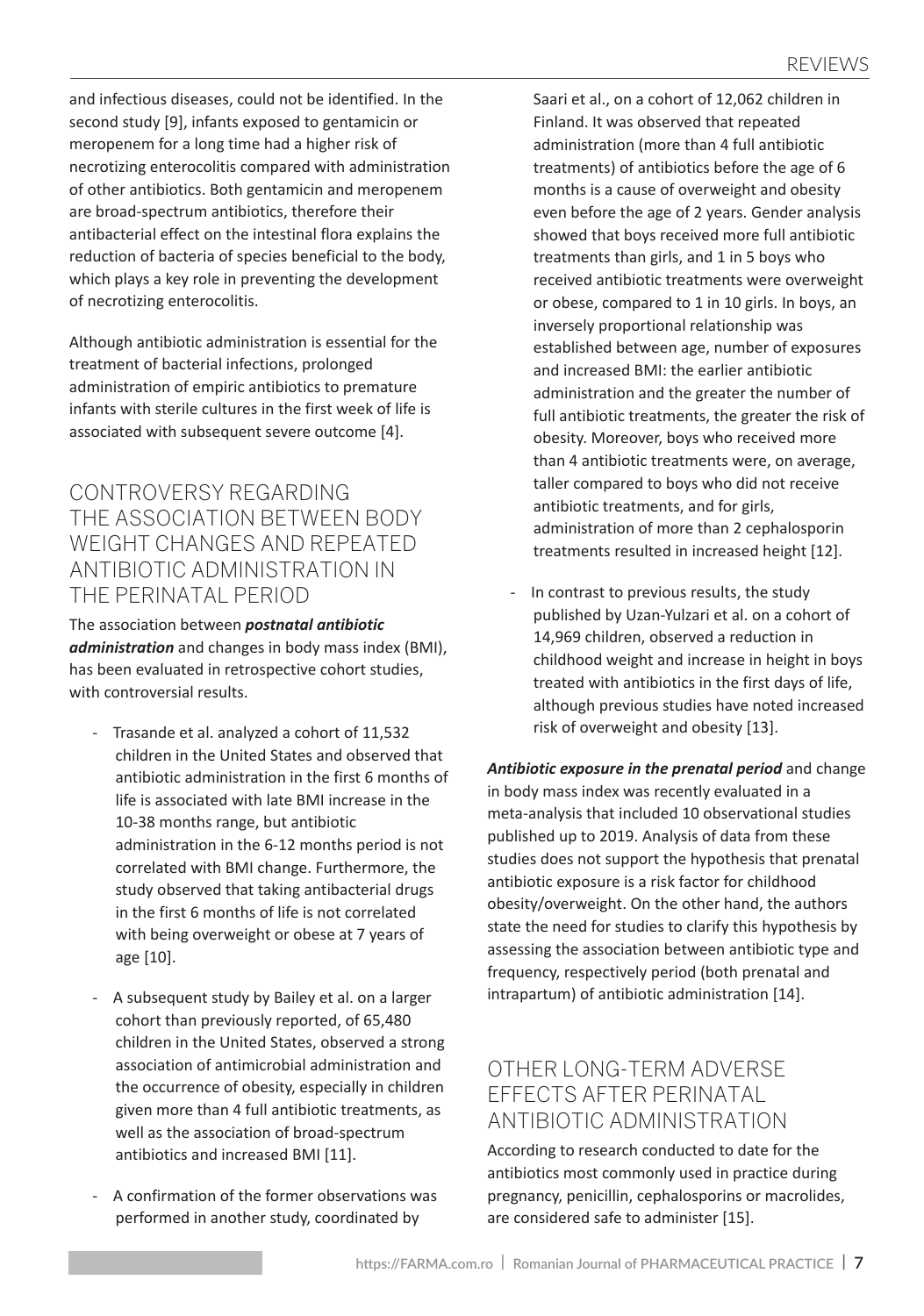and infectious diseases, could not be identified. In the second study [9], infants exposed to gentamicin or meropenem for a long time had a higher risk of necrotizing enterocolitis compared with administration of other antibiotics. Both gentamicin and meropenem are broad-spectrum antibiotics, therefore their antibacterial effect on the intestinal flora explains the reduction of bacteria of species beneficial to the body, which plays a key role in preventing the development of necrotizing enterocolitis.

Although antibiotic administration is essential for the treatment of bacterial infections, prolonged administration of empiric antibiotics to premature infants with sterile cultures in the first week of life is associated with subsequent severe outcome [4].

Controversy regarding the association between body weight changes and repeated antibiotic administration in the perinatal period

The association between *postnatal antibiotic administration* and changes in body mass index (BMI), has been evaluated in retrospective cohort studies, with controversial results.

- Trasande et al. analyzed a cohort of 11,532 children in the United States and observed that antibiotic administration in the first 6 months of life is associated with late BMI increase in the 10-38 months range, but antibiotic administration in the 6-12 months period is not correlated with BMI change. Furthermore, the study observed that taking antibacterial drugs in the first 6 months of life is not correlated with being overweight or obese at 7 years of age [10].
- A subsequent study by Bailey et al. on a larger cohort than previously reported, of 65,480 children in the United States, observed a strong association of antimicrobial administration and the occurrence of obesity, especially in children given more than 4 full antibiotic treatments, as well as the association of broad-spectrum antibiotics and increased BMI [11].
- A confirmation of the former observations was performed in another study, coordinated by

Saari et al., on a cohort of 12,062 children in Finland. It was observed that repeated administration (more than 4 full antibiotic treatments) of antibiotics before the age of 6 months is a cause of overweight and obesity even before the age of 2 years. Gender analysis showed that boys received more full antibiotic treatments than girls, and 1 in 5 boys who received antibiotic treatments were overweight or obese, compared to 1 in 10 girls. In boys, an inversely proportional relationship was established between age, number of exposures and increased BMI: the earlier antibiotic administration and the greater the number of full antibiotic treatments, the greater the risk of obesity. Moreover, boys who received more than 4 antibiotic treatments were, on average, taller compared to boys who did not receive antibiotic treatments, and for girls, administration of more than 2 cephalosporin treatments resulted in increased height [12].

In contrast to previous results, the study published by Uzan-Yulzari et al. on a cohort of 14,969 children, observed a reduction in childhood weight and increase in height in boys treated with antibiotics in the first days of life, although previous studies have noted increased risk of overweight and obesity [13].

*Antibiotic exposure in the prenatal period* and change in body mass index was recently evaluated in a meta-analysis that included 10 observational studies published up to 2019. Analysis of data from these studies does not support the hypothesis that prenatal antibiotic exposure is a risk factor for childhood obesity/overweight. On the other hand, the authors state the need for studies to clarify this hypothesis by assessing the association between antibiotic type and frequency, respectively period (both prenatal and intrapartum) of antibiotic administration [14].

## Other long-term adverse effects after perinatal antibiotic administration

According to research conducted to date for the antibiotics most commonly used in practice during pregnancy, penicillin, cephalosporins or macrolides, are considered safe to administer [15].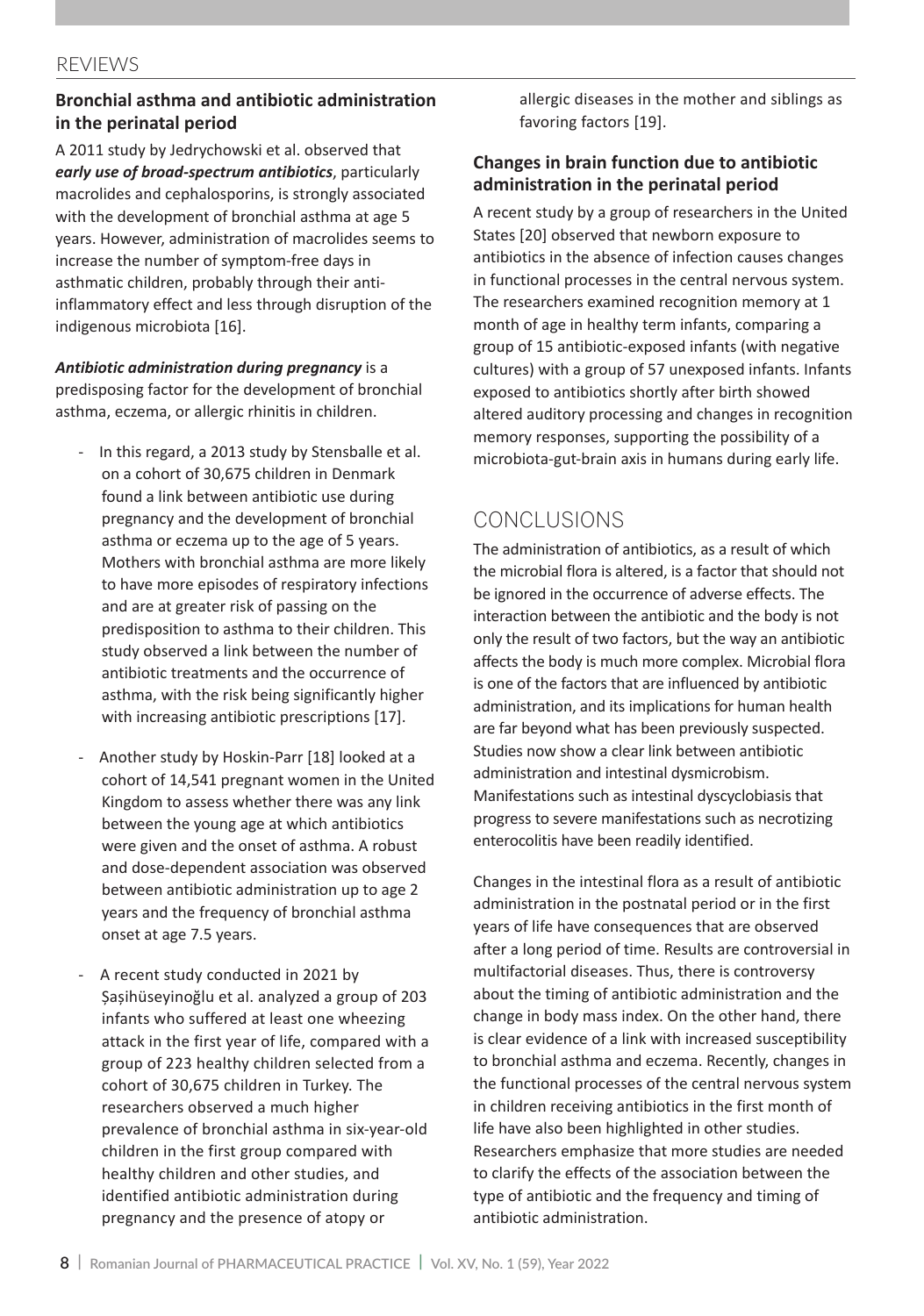#### REVIEWS

#### **Bronchial asthma and antibiotic administration in the perinatal period**

A 2011 study by Jedrychowski et al. observed that *early use of broad-spectrum antibiotics*, particularly macrolides and cephalosporins, is strongly associated with the development of bronchial asthma at age 5 years. However, administration of macrolides seems to increase the number of symptom-free days in asthmatic children, probably through their antiinflammatory effect and less through disruption of the indigenous microbiota [16].

*Antibiotic administration during pregnancy* is a predisposing factor for the development of bronchial asthma, eczema, or allergic rhinitis in children.

- In this regard, a 2013 study by Stensballe et al. on a cohort of 30,675 children in Denmark found a link between antibiotic use during pregnancy and the development of bronchial asthma or eczema up to the age of 5 years. Mothers with bronchial asthma are more likely to have more episodes of respiratory infections and are at greater risk of passing on the predisposition to asthma to their children. This study observed a link between the number of antibiotic treatments and the occurrence of asthma, with the risk being significantly higher with increasing antibiotic prescriptions [17].
- Another study by Hoskin-Parr [18] looked at a cohort of 14,541 pregnant women in the United Kingdom to assess whether there was any link between the young age at which antibiotics were given and the onset of asthma. A robust and dose-dependent association was observed between antibiotic administration up to age 2 years and the frequency of bronchial asthma onset at age 7.5 years.
- A recent study conducted in 2021 by Șașihüseyinoğlu et al. analyzed a group of 203 infants who suffered at least one wheezing attack in the first year of life, compared with a group of 223 healthy children selected from a cohort of 30,675 children in Turkey. The researchers observed a much higher prevalence of bronchial asthma in six-year-old children in the first group compared with healthy children and other studies, and identified antibiotic administration during pregnancy and the presence of atopy or

allergic diseases in the mother and siblings as favoring factors [19].

#### **Changes in brain function due to antibiotic administration in the perinatal period**

A recent study by a group of researchers in the United States [20] observed that newborn exposure to antibiotics in the absence of infection causes changes in functional processes in the central nervous system. The researchers examined recognition memory at 1 month of age in healthy term infants, comparing a group of 15 antibiotic-exposed infants (with negative cultures) with a group of 57 unexposed infants. Infants exposed to antibiotics shortly after birth showed altered auditory processing and changes in recognition memory responses, supporting the possibility of a microbiota-gut-brain axis in humans during early life.

## Conclusions

The administration of antibiotics, as a result of which the microbial flora is altered, is a factor that should not be ignored in the occurrence of adverse effects. The interaction between the antibiotic and the body is not only the result of two factors, but the way an antibiotic affects the body is much more complex. Microbial flora is one of the factors that are influenced by antibiotic administration, and its implications for human health are far beyond what has been previously suspected. Studies now show a clear link between antibiotic administration and intestinal dysmicrobism. Manifestations such as intestinal dyscyclobiasis that progress to severe manifestations such as necrotizing enterocolitis have been readily identified.

Changes in the intestinal flora as a result of antibiotic administration in the postnatal period or in the first years of life have consequences that are observed after a long period of time. Results are controversial in multifactorial diseases. Thus, there is controversy about the timing of antibiotic administration and the change in body mass index. On the other hand, there is clear evidence of a link with increased susceptibility to bronchial asthma and eczema. Recently, changes in the functional processes of the central nervous system in children receiving antibiotics in the first month of life have also been highlighted in other studies. Researchers emphasize that more studies are needed to clarify the effects of the association between the type of antibiotic and the frequency and timing of antibiotic administration.